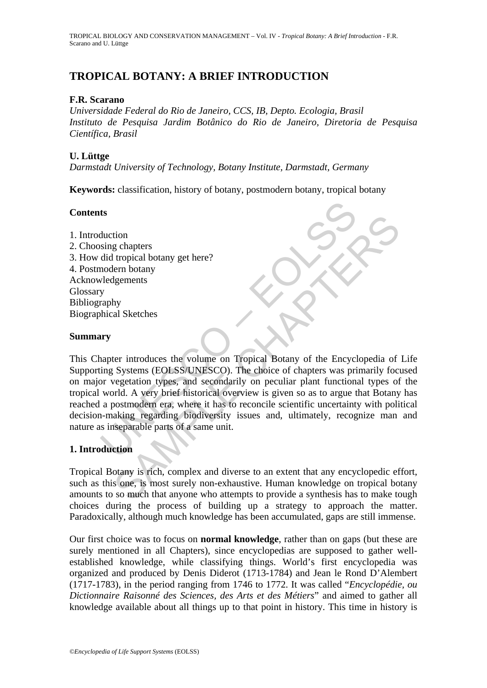# **TROPICAL BOTANY: A BRIEF INTRODUCTION**

### **F.R. Scarano**

*Universidade Federal do Rio de Janeiro, CCS, IB, Depto. Ecologia, Brasil Instituto de Pesquisa Jardim Botânico do Rio de Janeiro, Diretoria de Pesquisa Científica, Brasil* 

## **U. Lüttge**

*Darmstadt University of Technology, Botany Institute, Darmstadt, Germany* 

**Keywords:** classification, history of botany, postmodern botany, tropical botany

## **Contents**

1. Introduction 2. Choosing chapters 3. How did tropical botany get here? 4. Postmodern botany Acknowledgements Glossary Bibliography Biographical Sketches

#### **Summary**

UNESCO – EOLSS tion<br>
is gehapters<br>
tropical botany get here?<br>
tern botany<br>
dgements<br>
hy<br>
al Sketches<br>
tern botany<br>
dgements<br>
hy<br>
al Sketches<br>
tern botany<br>
al Sketches<br>
tern botany<br>
sa Sketches<br>
complex and accordarily on peculiar plant f This Chapter introduces the volume on Tropical Botany of the Encyclopedia of Life Supporting Systems (EOLSS/UNESCO). The choice of chapters was primarily focused on major vegetation types, and secondarily on peculiar plant functional types of the tropical world. A very brief historical overview is given so as to argue that Botany has reached a postmodern era, where it has to reconcile scientific uncertainty with political decision-making regarding biodiversity issues and, ultimately, recognize man and nature as inseparable parts of a same unit.

# **1. Introduction**

Tropical Botany is rich, complex and diverse to an extent that any encyclopedic effort, such as this one, is most surely non-exhaustive. Human knowledge on tropical botany amounts to so much that anyone who attempts to provide a synthesis has to make tough choices during the process of building up a strategy to approach the matter. Paradoxically, although much knowledge has been accumulated, gaps are still immense.

Our first choice was to focus on **normal knowledge**, rather than on gaps (but these are surely mentioned in all Chapters), since encyclopedias are supposed to gather wellestablished knowledge, while classifying things. World's first encyclopedia was organized and produced by Denis Diderot (1713-1784) and Jean le Rond D'Alembert (1717-1783), in the period ranging from 1746 to 1772. It was called "*Encyclopédie, ou Dictionnaire Raisonné des Sciences, des Arts et des Métiers*" and aimed to gather all knowledge available about all things up to that point in history. This time in history is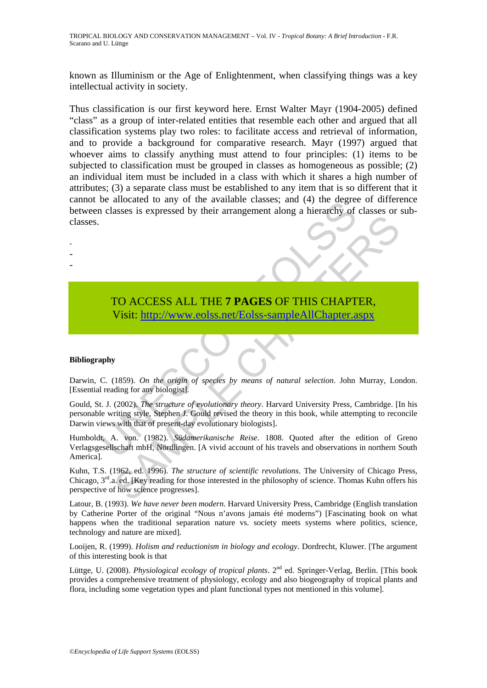known as Illuminism or the Age of Enlightenment, when classifying things was a key intellectual activity in society.

Thus classification is our first keyword here. Ernst Walter Mayr (1904-2005) defined "class" as a group of inter-related entities that resemble each other and argued that all classification systems play two roles: to facilitate access and retrieval of information, and to provide a background for comparative research. Mayr (1997) argued that whoever aims to classify anything must attend to four principles: (1) items to be subjected to classification must be grouped in classes as homogeneous as possible; (2) an individual item must be included in a class with which it shares a high number of attributes; (3) a separate class must be established to any item that is so different that it cannot be allocated to any of the available classes; and (4) the degree of difference between classes is expressed by their arrangement along a hierarchy of classes or subclasses.

> TO ACCESS ALL THE **7 PAGES** OF THIS CHAPTER, Visit: http://www.eolss.net/Eolss-sampleAllChapter.aspx

#### **Bibliography**

- - -

Darwin, C. (1859). *On the origin of species by means of natural selection*. John Murray, London. [Essential reading for any biologist].

The state of the avantable classes, and (4) the degree<br>
a classes is expressed by their arrangement along a hierarchy of<br>
TO ACCESS ALL THE 7 PAGES OF THIS CHAPT<br>
Visit: http://www.eolss.net/Eolss-sampleAllChapter.a<br>
apply TO ACCESS ALL THE 7 PAGES OF THIS C[HAP](https://www.eolss.net/ebooklib/sc_cart.aspx?File=E6-142-TB-01)TER,<br>
Visit: http://www.colss.net/Eolss-sampleAllChapter.aspx<br>
y<br>
(1859). *On the origin of species by means of natural selection*. John Murray, Lot<br>
(2002). *The structure of evolutio* Gould, St. J. (2002). *The structure of evolutionary theory*. Harvard University Press, Cambridge. [In his personable writing style, Stephen J. Gould revised the theory in this book, while attempting to reconcile Darwin views with that of present-day evolutionary biologists].

Humboldt, A. von. (1982). *Südamerikanische Reise*. 1808. Quoted after the edition of Greno Verlagsgesellschaft mbH, Nördlingen. [A vivid account of his travels and observations in northern South America].

Kuhn, T.S. (1962, ed. 1996). *The structure of scientific revolutions*. The University of Chicago Press, Chicago, 3rd.a. ed. [Key reading for those interested in the philosophy of science. Thomas Kuhn offers his perspective of how science progresses].

Latour, B. (1993). *We have never been modern*. Harvard University Press, Cambridge (English translation by Catherine Porter of the original "Nous n'avons jamais été moderns") [Fascinating book on what happens when the traditional separation nature vs. society meets systems where politics, science, technology and nature are mixed].

Looijen, R. (1999). *Holism and reductionism in biology and ecology*. Dordrecht, Kluwer. [The argument of this interesting book is that

Lüttge, U. (2008). *Physiological ecology of tropical plants*. 2<sup>nd</sup> ed. Springer-Verlag, Berlin. [This book] provides a comprehensive treatment of physiology, ecology and also biogeography of tropical plants and flora, including some vegetation types and plant functional types not mentioned in this volume].